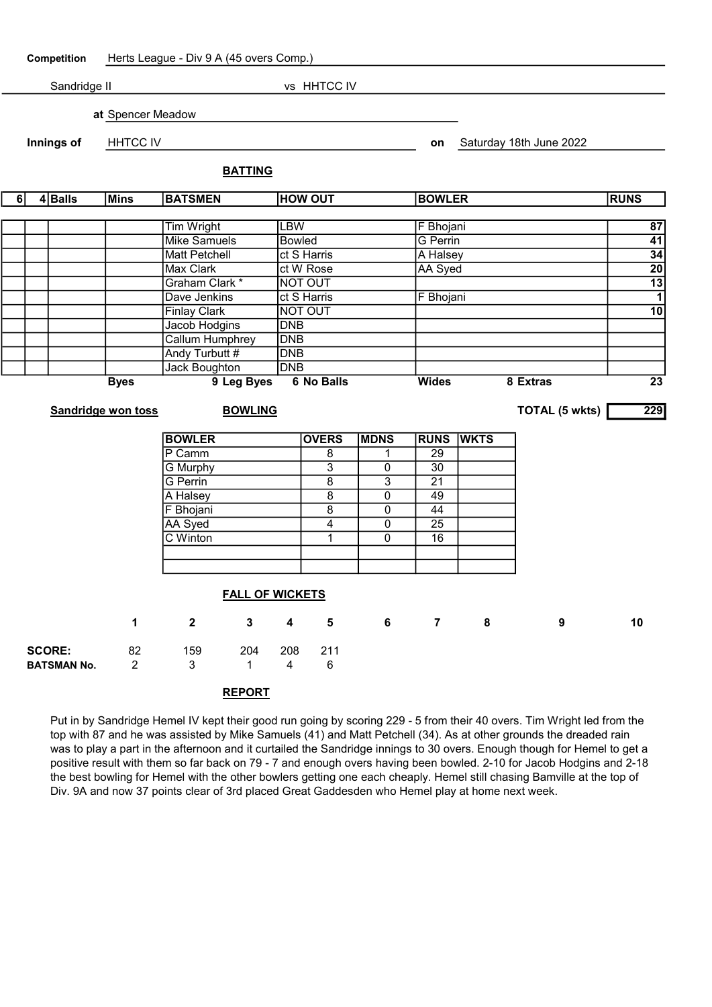| Competition              |  | Herts League - Div 9 A (45 overs Comp.) |                           |                        |                          |                         |                                         |                             |                       |             |                          |                       |  |
|--------------------------|--|-----------------------------------------|---------------------------|------------------------|--------------------------|-------------------------|-----------------------------------------|-----------------------------|-----------------------|-------------|--------------------------|-----------------------|--|
|                          |  | Sandridge II                            |                           | vs HHTCC IV            |                          |                         |                                         |                             |                       |             |                          |                       |  |
|                          |  |                                         | at Spencer Meadow         |                        |                          |                         |                                         |                             |                       |             |                          |                       |  |
|                          |  |                                         |                           |                        |                          |                         |                                         |                             |                       |             |                          |                       |  |
| Innings of               |  |                                         | <b>HHTCC IV</b>           |                        |                          |                         |                                         |                             |                       |             | Saturday 18th June 2022  |                       |  |
|                          |  |                                         |                           |                        | <b>BATTING</b>           |                         |                                         |                             |                       |             |                          |                       |  |
| 4Balls<br>6 <sup>1</sup> |  | <b>Mins</b>                             | <b>BATSMEN</b>            |                        | <b>HOW OUT</b>           |                         |                                         | <b>BOWLER</b>               |                       | <b>RUNS</b> |                          |                       |  |
|                          |  |                                         |                           |                        |                          |                         |                                         |                             |                       |             |                          |                       |  |
|                          |  |                                         |                           | <b>Tim Wright</b>      |                          | <b>LBW</b>              |                                         |                             | F Bhojani             |             |                          | 87<br>$\overline{41}$ |  |
|                          |  |                                         |                           | <b>Mike Samuels</b>    |                          |                         | <b>Bowled</b>                           |                             |                       | G Perrin    |                          |                       |  |
|                          |  | <b>Matt Petchell</b>                    |                           |                        | ct S Harris<br>ct W Rose |                         |                                         | A Halsey                    | 34<br>$\overline{20}$ |             |                          |                       |  |
|                          |  |                                         |                           | Max Clark              |                          |                         | <b>NOT OUT</b>                          |                             | AA Syed               | 13          |                          |                       |  |
|                          |  | Graham Clark *<br>Dave Jenkins          |                           |                        |                          | ct S Harris             |                                         | F Bhojani                   | $\overline{1}$        |             |                          |                       |  |
|                          |  |                                         |                           | <b>Finlay Clark</b>    |                          |                         | <b>NOT OUT</b>                          |                             |                       |             |                          |                       |  |
|                          |  |                                         |                           | Jacob Hodgins          |                          | <b>DNB</b>              |                                         |                             |                       |             |                          | $\overline{10}$       |  |
|                          |  |                                         |                           | <b>Callum Humphrey</b> |                          | <b>DNB</b>              |                                         |                             |                       |             |                          |                       |  |
|                          |  |                                         |                           | Andy Turbutt #         |                          | <b>DNB</b>              |                                         |                             |                       |             |                          |                       |  |
|                          |  | <b>Jack Boughton</b>                    |                           |                        | <b>DNB</b>               |                         |                                         |                             |                       |             | $\overline{23}$          |                       |  |
|                          |  |                                         | <b>Byes</b>               | 9 Leg Byes             |                          |                         |                                         | <b>6 No Balls</b>           |                       |             | <b>Wides</b><br>8 Extras |                       |  |
|                          |  |                                         |                           |                        |                          |                         |                                         |                             |                       |             |                          |                       |  |
|                          |  |                                         | <b>Sandridge won toss</b> |                        | <b>BOWLING</b>           |                         |                                         |                             |                       |             | <b>TOTAL (5 wkts)</b>    | 229                   |  |
|                          |  |                                         |                           | <b>BOWLER</b>          |                          |                         | <b>OVERS</b>                            | <b>MDNS</b>                 | <b>RUNS WKTS</b>      |             |                          |                       |  |
|                          |  |                                         |                           | P Camm                 |                          |                         | $\bf 8$                                 | 1                           | 29                    |             |                          |                       |  |
|                          |  |                                         |                           | G Murphy               |                          |                         | $\overline{3}$                          | $\mathbf 0$                 | $\overline{30}$       |             |                          |                       |  |
|                          |  |                                         |                           | G Perrin               |                          |                         | 8                                       | $\overline{3}$              | $\overline{21}$       |             |                          |                       |  |
|                          |  |                                         |                           | A Halsey               |                          |                         | $\overline{8}$                          | $\overline{0}$              | 49                    |             |                          |                       |  |
|                          |  |                                         |                           | F Bhojani              |                          |                         | $\overline{8}$                          | $\mathbf 0$                 | 44                    |             |                          |                       |  |
|                          |  |                                         |                           | AA Syed<br>C Winton    |                          |                         | $\overline{\mathbf{4}}$<br>$\mathbf{1}$ | $\pmb{0}$<br>$\overline{0}$ | $\overline{25}$<br>16 |             |                          |                       |  |
|                          |  |                                         |                           |                        |                          |                         |                                         |                             |                       |             |                          |                       |  |
|                          |  |                                         |                           |                        |                          |                         |                                         |                             |                       |             |                          |                       |  |
|                          |  |                                         |                           |                        | <b>FALL OF WICKETS</b>   |                         |                                         |                             |                       |             |                          |                       |  |
|                          |  |                                         | $\mathbf 1$               | $\overline{2}$         | $\mathbf{3}$             | $\overline{\mathbf{4}}$ | $5\phantom{.0}$                         | $6\overline{6}$             | $7^{\circ}$           | 8           | 9                        | 10                    |  |
|                          |  | <b>SCORE:</b><br><b>BATSMAN No.</b>     | 82<br>$\overline{2}$      | 159<br>3               | 204<br>$\mathbf{1}$      | 208<br>$\overline{4}$   | 211<br>6                                |                             |                       |             |                          |                       |  |

## REPORT

Put in by Sandridge Hemel IV kept their good run going by scoring 229 - 5 from their 40 overs. Tim Wright led from the top with 87 and he was assisted by Mike Samuels (41) and Matt Petchell (34). As at other grounds the dreaded rain was to play a part in the afternoon and it curtailed the Sandridge innings to 30 overs. Enough though for Hemel to get a positive result with them so far back on 79 - 7 and enough overs having been bowled. 2-10 for Jacob Hodgins and 2-18 the best bowling for Hemel with the other bowlers getting one each cheaply. Hemel still chasing Bamville at the top of Div. 9A and now 37 points clear of 3rd placed Great Gaddesden who Hemel play at home next week.